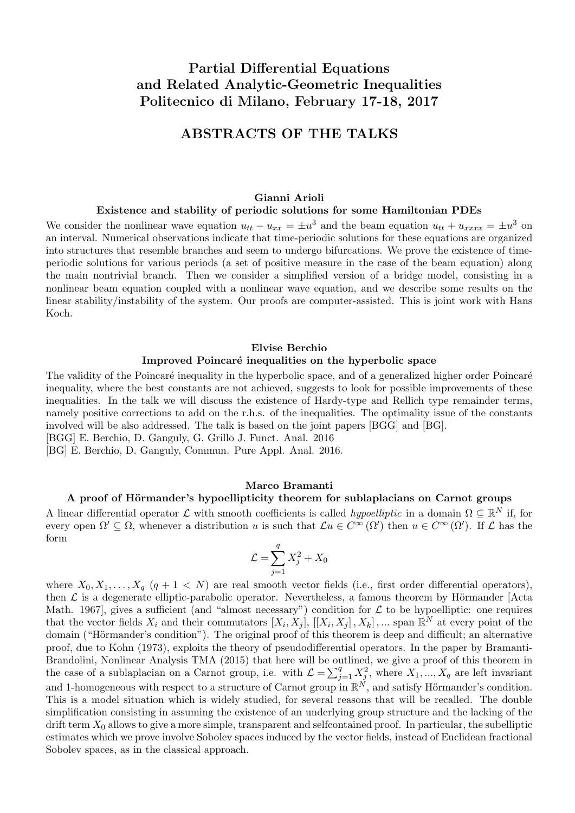# Partial Differential Equations and Related Analytic-Geometric Inequalities Politecnico di Milano, February 17-18, 2017

# ABSTRACTS OF THE TALKS

#### Gianni Arioli

#### Existence and stability of periodic solutions for some Hamiltonian PDEs

We consider the nonlinear wave equation  $u_{tt} - u_{xx} = \pm u^3$  and the beam equation  $u_{tt} + u_{xxxx} = \pm u^3$  on an interval. Numerical observations indicate that time-periodic solutions for these equations are organized into structures that resemble branches and seem to undergo bifurcations. We prove the existence of timeperiodic solutions for various periods (a set of positive measure in the case of the beam equation) along the main nontrivial branch. Then we consider a simplified version of a bridge model, consisting in a nonlinear beam equation coupled with a nonlinear wave equation, and we describe some results on the linear stability/instability of the system. Our proofs are computer-assisted. This is joint work with Hans Koch.

#### Elvise Berchio

#### Improved Poincaré inequalities on the hyperbolic space

The validity of the Poincaré inequality in the hyperbolic space, and of a generalized higher order Poincaré inequality, where the best constants are not achieved, suggests to look for possible improvements of these inequalities. In the talk we will discuss the existence of Hardy-type and Rellich type remainder terms, namely positive corrections to add on the r.h.s. of the inequalities. The optimality issue of the constants involved will be also addressed. The talk is based on the joint papers [BGG] and [BG].

[BGG] E. Berchio, D. Ganguly, G. Grillo J. Funct. Anal. 2016

[BG] E. Berchio, D. Ganguly, Commun. Pure Appl. Anal. 2016.

#### Marco Bramanti

# A proof of Hörmander's hypoellipticity theorem for sublaplacians on Carnot groups

A linear differential operator  $\mathcal L$  with smooth coefficients is called *hypoelliptic* in a domain  $\Omega \subseteq \mathbb R^N$  if, for every open  $\Omega' \subseteq \Omega$ , whenever a distribution u is such that  $\mathcal{L}u \in C^{\infty}(\Omega')$  then  $u \in C^{\infty}(\Omega')$ . If  $\mathcal L$  has the form

$$
\mathcal{L} = \sum_{j=1}^{q} X_j^2 + X_0
$$

where  $X_0, X_1, \ldots, X_q$   $(q + 1 < N)$  are real smooth vector fields (i.e., first order differential operators), then  $\mathcal L$  is a degenerate elliptic-parabolic operator. Nevertheless, a famous theorem by Hörmander [Acta Math. 1967], gives a sufficient (and "almost necessary") condition for  $\mathcal L$  to be hypoelliptic: one requires that the vector fields  $X_i$  and their commutators  $[X_i, X_j]$ ,  $[[X_i, X_j]$ ,  $X_k]$ , ... span  $\mathbb{R}^N$  at every point of the domain ("Hörmander's condition"). The original proof of this theorem is deep and difficult; an alternative proof, due to Kohn (1973), exploits the theory of pseudodifferential operators. In the paper by Bramanti-Brandolini, Nonlinear Analysis TMA (2015) that here will be outlined, we give a proof of this theorem in the case of a sublaplacian on a Carnot group, i.e. with  $\mathcal{L} = \sum_{j=1}^{q} X_j^2$ , where  $X_1, ..., X_q$  are left invariant and 1-homogeneous with respect to a structure of Carnot group in  $\mathbb{R}^N$ , and satisfy Hörmander's condition. This is a model situation which is widely studied, for several reasons that will be recalled. The double simplification consisting in assuming the existence of an underlying group structure and the lacking of the drift term  $X_0$  allows to give a more simple, transparent and selfcontained proof. In particular, the subelliptic estimates which we prove involve Sobolev spaces induced by the vector fields, instead of Euclidean fractional Sobolev spaces, as in the classical approach.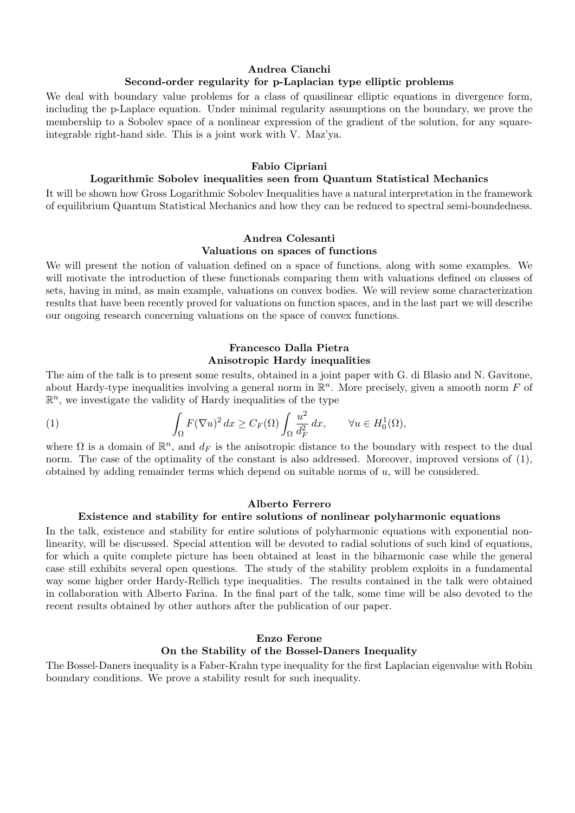## Andrea Cianchi Second-order regularity for p-Laplacian type elliptic problems

We deal with boundary value problems for a class of quasilinear elliptic equations in divergence form, including the p-Laplace equation. Under minimal regularity assumptions on the boundary, we prove the membership to a Sobolev space of a nonlinear expression of the gradient of the solution, for any squareintegrable right-hand side. This is a joint work with V. Maz'ya.

## Fabio Cipriani

## Logarithmic Sobolev inequalities seen from Quantum Statistical Mechanics

It will be shown how Gross Logarithmic Sobolev Inequalities have a natural interpretation in the framework of equilibrium Quantum Statistical Mechanics and how they can be reduced to spectral semi-boundedness.

## Andrea Colesanti Valuations on spaces of functions

We will present the notion of valuation defined on a space of functions, along with some examples. We will motivate the introduction of these functionals comparing them with valuations defined on classes of sets, having in mind, as main example, valuations on convex bodies. We will review some characterization results that have been recently proved for valuations on function spaces, and in the last part we will describe our ongoing research concerning valuations on the space of convex functions.

# Francesco Dalla Pietra Anisotropic Hardy inequalities

The aim of the talk is to present some results, obtained in a joint paper with G. di Blasio and N. Gavitone, about Hardy-type inequalities involving a general norm in  $\mathbb{R}^n$ . More precisely, given a smooth norm F of  $\mathbb{R}^n$ , we investigate the validity of Hardy inequalities of the type

(1) 
$$
\int_{\Omega} F(\nabla u)^2 dx \ge C_F(\Omega) \int_{\Omega} \frac{u^2}{d_F^2} dx, \quad \forall u \in H_0^1(\Omega),
$$

where  $\Omega$  is a domain of  $\mathbb{R}^n$ , and  $d_F$  is the anisotropic distance to the boundary with respect to the dual norm. The case of the optimality of the constant is also addressed. Moreover, improved versions of  $(1)$ , obtained by adding remainder terms which depend on suitable norms of u, will be considered.

### Alberto Ferrero

#### Existence and stability for entire solutions of nonlinear polyharmonic equations

In the talk, existence and stability for entire solutions of polyharmonic equations with exponential nonlinearity, will be discussed. Special attention will be devoted to radial solutions of such kind of equations, for which a quite complete picture has been obtained at least in the biharmonic case while the general case still exhibits several open questions. The study of the stability problem exploits in a fundamental way some higher order Hardy-Rellich type inequalities. The results contained in the talk were obtained in collaboration with Alberto Farina. In the final part of the talk, some time will be also devoted to the recent results obtained by other authors after the publication of our paper.

## Enzo Ferone On the Stability of the Bossel-Daners Inequality

The Bossel-Daners inequality is a Faber-Krahn type inequality for the first Laplacian eigenvalue with Robin boundary conditions. We prove a stability result for such inequality.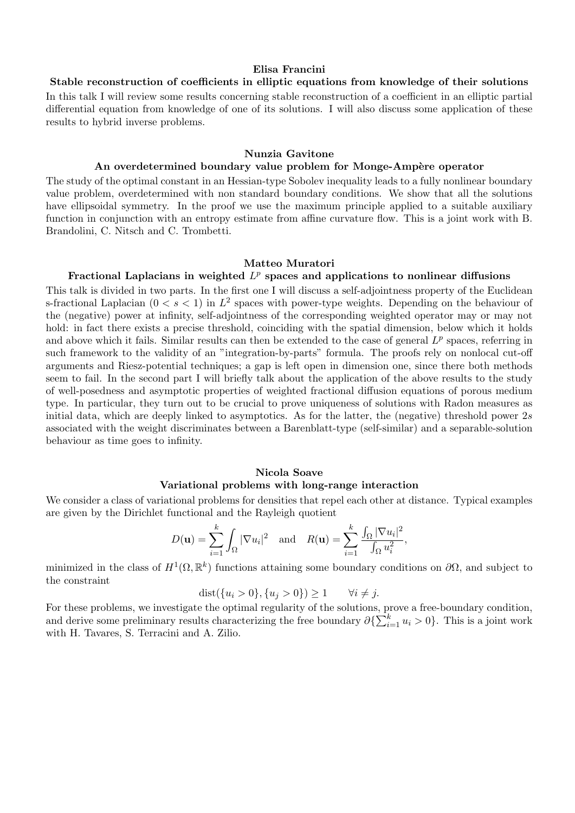#### Elisa Francini

Stable reconstruction of coefficients in elliptic equations from knowledge of their solutions In this talk I will review some results concerning stable reconstruction of a coefficient in an elliptic partial differential equation from knowledge of one of its solutions. I will also discuss some application of these results to hybrid inverse problems.

#### Nunzia Gavitone

## An overdetermined boundary value problem for Monge-Ampère operator

The study of the optimal constant in an Hessian-type Sobolev inequality leads to a fully nonlinear boundary value problem, overdetermined with non standard boundary conditions. We show that all the solutions have ellipsoidal symmetry. In the proof we use the maximum principle applied to a suitable auxiliary function in conjunction with an entropy estimate from affine curvature flow. This is a joint work with B. Brandolini, C. Nitsch and C. Trombetti.

#### Matteo Muratori

# Fractional Laplacians in weighted  $L^p$  spaces and applications to nonlinear diffusions

This talk is divided in two parts. In the first one I will discuss a self-adjointness property of the Euclidean s-fractional Laplacian  $(0 < s < 1)$  in  $L^2$  spaces with power-type weights. Depending on the behaviour of the (negative) power at infinity, self-adjointness of the corresponding weighted operator may or may not hold: in fact there exists a precise threshold, coinciding with the spatial dimension, below which it holds and above which it fails. Similar results can then be extended to the case of general  $L^p$  spaces, referring in such framework to the validity of an "integration-by-parts" formula. The proofs rely on nonlocal cut-off arguments and Riesz-potential techniques; a gap is left open in dimension one, since there both methods seem to fail. In the second part I will briefly talk about the application of the above results to the study of well-posedness and asymptotic properties of weighted fractional diffusion equations of porous medium type. In particular, they turn out to be crucial to prove uniqueness of solutions with Radon measures as initial data, which are deeply linked to asymptotics. As for the latter, the (negative) threshold power  $2s$ associated with the weight discriminates between a Barenblatt-type (self-similar) and a separable-solution behaviour as time goes to infinity.

# Nicola Soave Variational problems with long-range interaction

We consider a class of variational problems for densities that repel each other at distance. Typical examples are given by the Dirichlet functional and the Rayleigh quotient

$$
D(\mathbf{u}) = \sum_{i=1}^{k} \int_{\Omega} |\nabla u_i|^2 \text{ and } R(\mathbf{u}) = \sum_{i=1}^{k} \frac{\int_{\Omega} |\nabla u_i|^2}{\int_{\Omega} u_i^2},
$$

minimized in the class of  $H^1(\Omega,\mathbb{R}^k)$  functions attaining some boundary conditions on  $\partial\Omega$ , and subject to the constraint

$$
dist({u_i > 0}, {u_j > 0}) \ge 1
$$
  $\forall i \ne j.$ 

For these problems, we investigate the optimal regularity of the solutions, prove a free-boundary condition, and derive some preliminary results characterizing the free boundary  $\partial \{\sum_{i=1}^k u_i > 0\}$ . This is a joint work with H. Tavares, S. Terracini and A. Zilio.